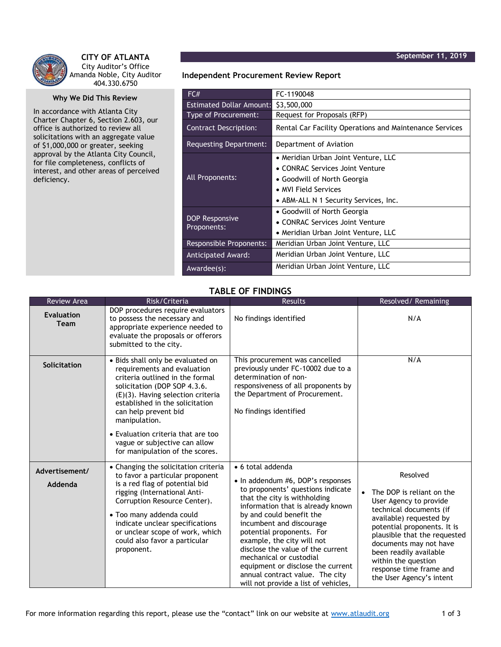

**CITY OF ATLANTA** City Auditor's Office Amanda Noble, City Auditor 404.330.6750

## **Why We Did This Review**

In accordance with Atlanta City Charter Chapter 6, Section 2.603, our office is authorized to review all solicitations with an aggregate value of \$1,000,000 or greater, seeking approval by the Atlanta City Council, for file completeness, conflicts of interest, and other areas of perceived deficiency.

**Independent Procurement Review Report**

| FC#                             | FC-1190048                                              |  |  |
|---------------------------------|---------------------------------------------------------|--|--|
| <b>Estimated Dollar Amount:</b> | \$3,500,000                                             |  |  |
| Type of Procurement:            | Request for Proposals (RFP)                             |  |  |
| <b>Contract Description:</b>    | Rental Car Facility Operations and Maintenance Services |  |  |
| Requesting Department:          | Department of Aviation                                  |  |  |
| All Proponents:                 | • Meridian Urban Joint Venture, LLC                     |  |  |
|                                 | • CONRAC Services Joint Venture                         |  |  |
|                                 | • Goodwill of North Georgia                             |  |  |
|                                 | • MVI Field Services                                    |  |  |
|                                 | • ABM-ALL N 1 Security Services, Inc.                   |  |  |
| DOP Responsive<br>Proponents:   | • Goodwill of North Georgia                             |  |  |
|                                 | • CONRAC Services Joint Venture                         |  |  |
|                                 | • Meridian Urban Joint Venture, LLC                     |  |  |
| Responsible Proponents:         | Meridian Urban Joint Venture, LLC                       |  |  |
| Anticipated Award:              | Meridian Urban Joint Venture, LLC                       |  |  |
| Awardee(s):                     | Meridian Urban Joint Venture, LLC                       |  |  |

## **TABLE OF FINDINGS**

| <b>Review Area</b>               | Risk/Criteria                                                                                                                                                                                                                                                                                                                                                     | Results                                                                                                                                                                                                                                                                                                                                                                                                                                                             | Resolved/Remaining                                                                                                                                                                                                                                                                                                                  |
|----------------------------------|-------------------------------------------------------------------------------------------------------------------------------------------------------------------------------------------------------------------------------------------------------------------------------------------------------------------------------------------------------------------|---------------------------------------------------------------------------------------------------------------------------------------------------------------------------------------------------------------------------------------------------------------------------------------------------------------------------------------------------------------------------------------------------------------------------------------------------------------------|-------------------------------------------------------------------------------------------------------------------------------------------------------------------------------------------------------------------------------------------------------------------------------------------------------------------------------------|
| <b>Evaluation</b><br><b>Team</b> | DOP procedures require evaluators<br>to possess the necessary and<br>appropriate experience needed to<br>evaluate the proposals or offerors<br>submitted to the city.                                                                                                                                                                                             | No findings identified                                                                                                                                                                                                                                                                                                                                                                                                                                              | N/A                                                                                                                                                                                                                                                                                                                                 |
| <b>Solicitation</b>              | · Bids shall only be evaluated on<br>requirements and evaluation<br>criteria outlined in the formal<br>solicitation (DOP SOP 4.3.6.<br>$(E)(3)$ . Having selection criteria<br>established in the solicitation<br>can help prevent bid<br>manipulation.<br>• Evaluation criteria that are too<br>vague or subjective can allow<br>for manipulation of the scores. | This procurement was cancelled<br>previously under FC-10002 due to a<br>determination of non-<br>responsiveness of all proponents by<br>the Department of Procurement.<br>No findings identified                                                                                                                                                                                                                                                                    | N/A                                                                                                                                                                                                                                                                                                                                 |
| Advertisement/<br>Addenda        | • Changing the solicitation criteria<br>to favor a particular proponent<br>is a red flag of potential bid<br>rigging (International Anti-<br>Corruption Resource Center).<br>• Too many addenda could<br>indicate unclear specifications<br>or unclear scope of work, which<br>could also favor a particular<br>proponent.                                        | • 6 total addenda<br>• In addendum #6, DOP's responses<br>to proponents' questions indicate<br>that the city is withholding<br>information that is already known<br>by and could benefit the<br>incumbent and discourage<br>potential proponents. For<br>example, the city will not<br>disclose the value of the current<br>mechanical or custodial<br>equipment or disclose the current<br>annual contract value. The city<br>will not provide a list of vehicles, | Resolved<br>The DOP is reliant on the<br>$\bullet$<br>User Agency to provide<br>technical documents (if<br>available) requested by<br>potential proponents. It is<br>plausible that the requested<br>documents may not have<br>been readily available<br>within the question<br>response time frame and<br>the User Agency's intent |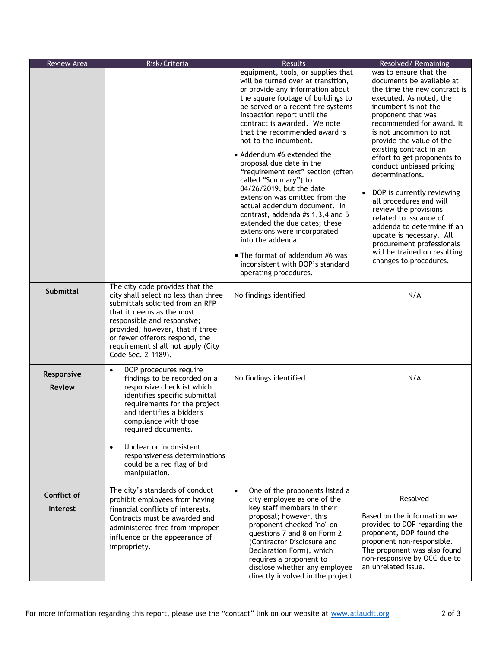| Review Area                    | Risk/Criteria                                                                                                                                                                                                                                                                                                                                                           | <b>Results</b>                                                                                                                                                                                                                                                                                                                                                                                                                                                                                                                                                                                                                                                                                                                                                   | Resolved/Remaining                                                                                                                                                                                                                                                                                                                                                                                                                                                                                                                                                                                                                 |
|--------------------------------|-------------------------------------------------------------------------------------------------------------------------------------------------------------------------------------------------------------------------------------------------------------------------------------------------------------------------------------------------------------------------|------------------------------------------------------------------------------------------------------------------------------------------------------------------------------------------------------------------------------------------------------------------------------------------------------------------------------------------------------------------------------------------------------------------------------------------------------------------------------------------------------------------------------------------------------------------------------------------------------------------------------------------------------------------------------------------------------------------------------------------------------------------|------------------------------------------------------------------------------------------------------------------------------------------------------------------------------------------------------------------------------------------------------------------------------------------------------------------------------------------------------------------------------------------------------------------------------------------------------------------------------------------------------------------------------------------------------------------------------------------------------------------------------------|
|                                | The city code provides that the                                                                                                                                                                                                                                                                                                                                         | equipment, tools, or supplies that<br>will be turned over at transition,<br>or provide any information about<br>the square footage of buildings to<br>be served or a recent fire systems<br>inspection report until the<br>contract is awarded. We note<br>that the recommended award is<br>not to the incumbent.<br>• Addendum #6 extended the<br>proposal due date in the<br>"requirement text" section (often<br>called "Summary") to<br>04/26/2019, but the date<br>extension was omitted from the<br>actual addendum document. In<br>contrast, addenda #s 1,3,4 and 5<br>extended the due dates; these<br>extensions were incorporated<br>into the addenda.<br>• The format of addendum #6 was<br>inconsistent with DOP's standard<br>operating procedures. | was to ensure that the<br>documents be available at<br>the time the new contract is<br>executed. As noted, the<br>incumbent is not the<br>proponent that was<br>recommended for award. It<br>is not uncommon to not<br>provide the value of the<br>existing contract in an<br>effort to get proponents to<br>conduct unbiased pricing<br>determinations.<br>DOP is currently reviewing<br>$\bullet$<br>all procedures and will<br>review the provisions<br>related to issuance of<br>addenda to determine if an<br>update is necessary. All<br>procurement professionals<br>will be trained on resulting<br>changes to procedures. |
| <b>Submittal</b>               | city shall select no less than three<br>submittals solicited from an RFP<br>that it deems as the most<br>responsible and responsive;<br>provided, however, that if three<br>or fewer offerors respond, the<br>requirement shall not apply (City<br>Code Sec. 2-1189).                                                                                                   | No findings identified                                                                                                                                                                                                                                                                                                                                                                                                                                                                                                                                                                                                                                                                                                                                           | N/A                                                                                                                                                                                                                                                                                                                                                                                                                                                                                                                                                                                                                                |
| Responsive<br><b>Review</b>    | DOP procedures require<br>$\bullet$<br>findings to be recorded on a<br>responsive checklist which<br>identifies specific submittal<br>requirements for the project<br>and identifies a bidder's<br>compliance with those<br>required documents.<br>Unclear or inconsistent<br>$\bullet$<br>responsiveness determinations<br>could be a red flag of bid<br>manipulation. | No findings identified                                                                                                                                                                                                                                                                                                                                                                                                                                                                                                                                                                                                                                                                                                                                           | N/A                                                                                                                                                                                                                                                                                                                                                                                                                                                                                                                                                                                                                                |
| Conflict of<br><b>Interest</b> | The city's standards of conduct<br>prohibit employees from having<br>financial conflicts of interests.<br>Contracts must be awarded and<br>administered free from improper<br>influence or the appearance of<br>impropriety.                                                                                                                                            | One of the proponents listed a<br>$\bullet$<br>city employee as one of the<br>key staff members in their<br>proposal; however, this<br>proponent checked "no" on<br>questions 7 and 8 on Form 2<br>(Contractor Disclosure and<br>Declaration Form), which<br>requires a proponent to<br>disclose whether any employee<br>directly involved in the project                                                                                                                                                                                                                                                                                                                                                                                                        | Resolved<br>Based on the information we<br>provided to DOP regarding the<br>proponent, DOP found the<br>proponent non-responsible.<br>The proponent was also found<br>non-responsive by OCC due to<br>an unrelated issue.                                                                                                                                                                                                                                                                                                                                                                                                          |